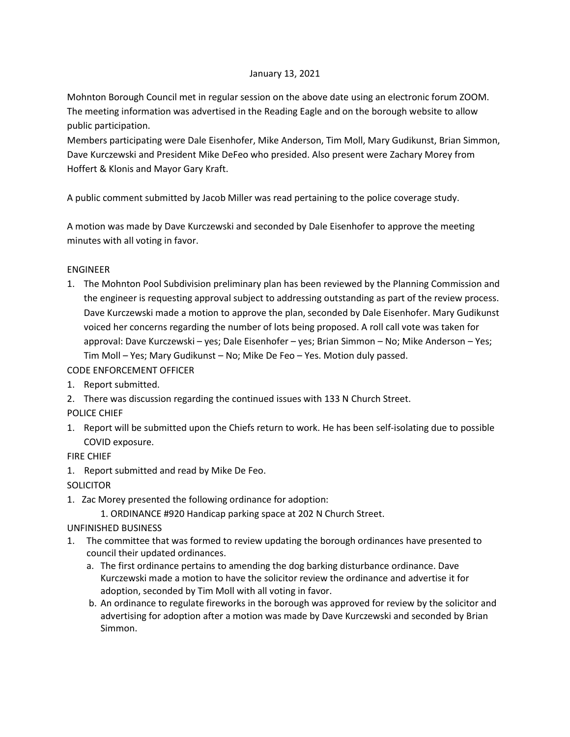## January 13, 2021

Mohnton Borough Council met in regular session on the above date using an electronic forum ZOOM. The meeting information was advertised in the Reading Eagle and on the borough website to allow public participation.

Members participating were Dale Eisenhofer, Mike Anderson, Tim Moll, Mary Gudikunst, Brian Simmon, Dave Kurczewski and President Mike DeFeo who presided. Also present were Zachary Morey from Hoffert & Klonis and Mayor Gary Kraft.

A public comment submitted by Jacob Miller was read pertaining to the police coverage study.

A motion was made by Dave Kurczewski and seconded by Dale Eisenhofer to approve the meeting minutes with all voting in favor.

## ENGINEER

1. The Mohnton Pool Subdivision preliminary plan has been reviewed by the Planning Commission and the engineer is requesting approval subject to addressing outstanding as part of the review process. Dave Kurczewski made a motion to approve the plan, seconded by Dale Eisenhofer. Mary Gudikunst voiced her concerns regarding the number of lots being proposed. A roll call vote was taken for approval: Dave Kurczewski – yes; Dale Eisenhofer – yes; Brian Simmon – No; Mike Anderson – Yes; Tim Moll – Yes; Mary Gudikunst – No; Mike De Feo – Yes. Motion duly passed.

CODE ENFORCEMENT OFFICER

- 1. Report submitted.
- 2. There was discussion regarding the continued issues with 133 N Church Street.
- POLICE CHIEF
- 1. Report will be submitted upon the Chiefs return to work. He has been self-isolating due to possible COVID exposure.

FIRE CHIEF

1. Report submitted and read by Mike De Feo.

**SOLICITOR** 

- 1. Zac Morey presented the following ordinance for adoption:
	- 1. ORDINANCE #920 Handicap parking space at 202 N Church Street.

UNFINISHED BUSINESS

- 1. The committee that was formed to review updating the borough ordinances have presented to council their updated ordinances.
	- a. The first ordinance pertains to amending the dog barking disturbance ordinance. Dave Kurczewski made a motion to have the solicitor review the ordinance and advertise it for adoption, seconded by Tim Moll with all voting in favor.
	- b. An ordinance to regulate fireworks in the borough was approved for review by the solicitor and advertising for adoption after a motion was made by Dave Kurczewski and seconded by Brian Simmon.